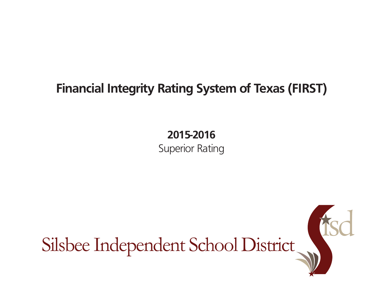## **Financial Integrity Rating System of Texas (FIRST)**

## **2015-2016**

Superior Rating

Silsbee Independent School District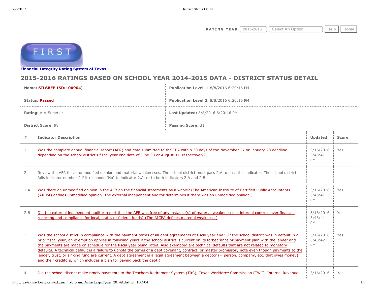**RATING YEAR**  $\boxed{2015\text{-}2016}$   $\boxed{\text{Select An Option}}$  Help  $\boxed{\text{Heip}}$ 



**[Financial Integrity Rating Syste](http://tea4avwaylon.tea.state.tx.us/First/forms/main.aspx)m of Texas**

## **2015-2016 RATINGS BASED ON SCHOOL YEAR 2014-2015 DATA - DISTRICT STATUS DETAIL**

| Name: SILSBEE ISD(100904)     |                                                                                                                                                                                                                                                                    | Publication Level 1: 8/8/2016 6:20:16 PM                                                                                                                                                                                                                                                                                                                                                                                                                                                                                                                                                                         |                                   |              |
|-------------------------------|--------------------------------------------------------------------------------------------------------------------------------------------------------------------------------------------------------------------------------------------------------------------|------------------------------------------------------------------------------------------------------------------------------------------------------------------------------------------------------------------------------------------------------------------------------------------------------------------------------------------------------------------------------------------------------------------------------------------------------------------------------------------------------------------------------------------------------------------------------------------------------------------|-----------------------------------|--------------|
| <b>Status: Passed</b>         |                                                                                                                                                                                                                                                                    | Publication Level 2: 8/8/2016 6:20:16 PM                                                                                                                                                                                                                                                                                                                                                                                                                                                                                                                                                                         |                                   |              |
| <b>Rating:</b> $A =$ Superior |                                                                                                                                                                                                                                                                    | Last Updated: 8/8/2016 6:20:16 PM                                                                                                                                                                                                                                                                                                                                                                                                                                                                                                                                                                                |                                   |              |
| <b>District Score: 98</b>     |                                                                                                                                                                                                                                                                    | <b>Passing Score: 31</b>                                                                                                                                                                                                                                                                                                                                                                                                                                                                                                                                                                                         |                                   |              |
| #                             | <b>Indicator Description</b>                                                                                                                                                                                                                                       |                                                                                                                                                                                                                                                                                                                                                                                                                                                                                                                                                                                                                  | Updated                           | <b>Score</b> |
| $\mathbf{1}$                  | Was the complete annual financial report (AFR) and data submitted to the TEA within 30 days of the November 27 or January 28 deadline<br>depending on the school district's fiscal year end date of June 30 or August 31, respectively?                            |                                                                                                                                                                                                                                                                                                                                                                                                                                                                                                                                                                                                                  | 3/16/2016<br>3:43:41<br><b>PM</b> | Yes          |
| $\overline{2}$                | Review the AFR for an unmodified opinion and material weaknesses. The school district must pass 2.A to pass this indicator. The school district<br>fails indicator number 2 if it responds "No" to indicator 2.A. or to both indicators 2.A and 2.B.               |                                                                                                                                                                                                                                                                                                                                                                                                                                                                                                                                                                                                                  |                                   |              |
| 2.A                           | Was there an unmodified opinion in the AFR on the financial statements as a whole? (The American Institute of Certified Public Accountants<br>(AICPA) defines unmodified opinion. The external independent auditor determines if there was an unmodified opinion.) |                                                                                                                                                                                                                                                                                                                                                                                                                                                                                                                                                                                                                  | 3/16/2016<br>3:43:41<br><b>PM</b> | Yes          |
| 2.B                           | Did the external independent auditor report that the AFR was free of any instance(s) of material weaknesses in internal controls over financial<br>reporting and compliance for local, state, or federal funds? (The AICPA defines material weakness.)             |                                                                                                                                                                                                                                                                                                                                                                                                                                                                                                                                                                                                                  | 3/16/2016<br>3:43:41<br><b>PM</b> | Yes          |
| 3                             | the payments are made on schedule for the fiscal year being rated. Also exempted are technical defaults that are not related to monetary<br>and their creditors, which includes a plan for paying back the debt.)                                                  | Was the school district in compliance with the payment terms of all debt agreements at fiscal year end? (If the school district was in default in a<br>prior fiscal year, an exemption applies in following years if the school district is current on its forbearance or payment plan with the lender and<br>defaults. A technical default is a failure to uphold the terms of a debt covenant, contract, or master promissory note even though payments to the<br>lender, trust, or sinking fund are current. A debt agreement is a legal agreement between a debtor (= person, company, etc. that owes money) | 3/16/2016<br>3:43:42<br><b>PM</b> | Yes          |
| 4                             |                                                                                                                                                                                                                                                                    | Did the school district make timely payments to the Teachers Retirement System (TRS), Texas Workforce Commission (TWC), Internal Revenue                                                                                                                                                                                                                                                                                                                                                                                                                                                                         | 3/16/2016                         | Yes          |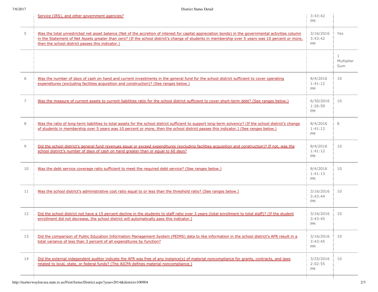|    | Service (IRS), and other government agencies?                                                                                                                                                                                                                                                                                                                 | 3:43:42<br><b>PM</b>              |                                   |
|----|---------------------------------------------------------------------------------------------------------------------------------------------------------------------------------------------------------------------------------------------------------------------------------------------------------------------------------------------------------------|-----------------------------------|-----------------------------------|
| 5  | Was the total unrestricted net asset balance (Net of the accretion of interest for capital appreciation bonds) in the governmental activities column<br>in the Statement of Net Assets greater than zero? (If the school district's change of students in membership over 5 years was 10 percent or more,<br>then the school district passes this indicator.) | 3/16/2016<br>3:43:42<br>PM        | Yes                               |
|    |                                                                                                                                                                                                                                                                                                                                                               |                                   | $\mathbf{1}$<br>Multiplier<br>Sum |
| 6  | Was the number of days of cash on hand and current investments in the general fund for the school district sufficient to cover operating<br>expenditures (excluding facilities acquisition and construction)? (See ranges below.)                                                                                                                             | 8/4/2016<br>1:41:12<br>PM         | 10                                |
| 7  | Was the measure of current assets to current liabilities ratio for the school district sufficient to cover short-term debt? (See ranges below.)                                                                                                                                                                                                               | 6/30/2016<br>1:26:59<br>PM        | 10                                |
| 8  | Was the ratio of long-term liabilities to total assets for the school district sufficient to support long-term solvency? (If the school district's change<br>of students in membership over 5 years was 10 percent or more, then the school district passes this indicator.) (See ranges below.)                                                              | 8/4/2016<br>1:41:12<br>PM         | 8                                 |
| 9  | Did the school district's general fund revenues equal or exceed expenditures (excluding facilities acquisition and construction)? If not, was the<br>school district's number of days of cash on hand greater than or equal to 60 days?                                                                                                                       | 8/4/2016<br>1:41:12<br>PM         | 10                                |
| 10 | Was the debt service coverage ratio sufficient to meet the required debt service? (See ranges below.)                                                                                                                                                                                                                                                         | 8/4/2016<br>1:41:13<br>PM         | 10                                |
| 11 | Was the school district's administrative cost ratio equal to or less than the threshold ratio? (See ranges below.)                                                                                                                                                                                                                                            | 3/16/2016<br>3:43:44<br><b>PM</b> | 10                                |
| 12 | Did the school district not have a 15 percent decline in the students to staff ratio over 3 years (total enrollment to total staff)? (If the student<br>enrollment did not decrease, the school district will automatically pass this indicator.)                                                                                                             | 3/16/2016<br>3:43:45<br>PM        | 10                                |
| 13 | Did the comparison of Public Education Information Management System (PEIMS) data to like information in the school district's AFR result in a<br>total variance of less than 3 percent of all expenditures by function?                                                                                                                                      | 3/16/2016<br>3:43:45<br>PM        | 10                                |
| 14 | Did the external independent auditor indicate the AFR was free of any instance(s) of material noncompliance for grants, contracts, and laws<br>related to local, state, or federal funds? (The AICPA defines material noncompliance.)                                                                                                                         | 3/25/2016<br>2:02:55<br>PM        | 10                                |
|    |                                                                                                                                                                                                                                                                                                                                                               |                                   |                                   |